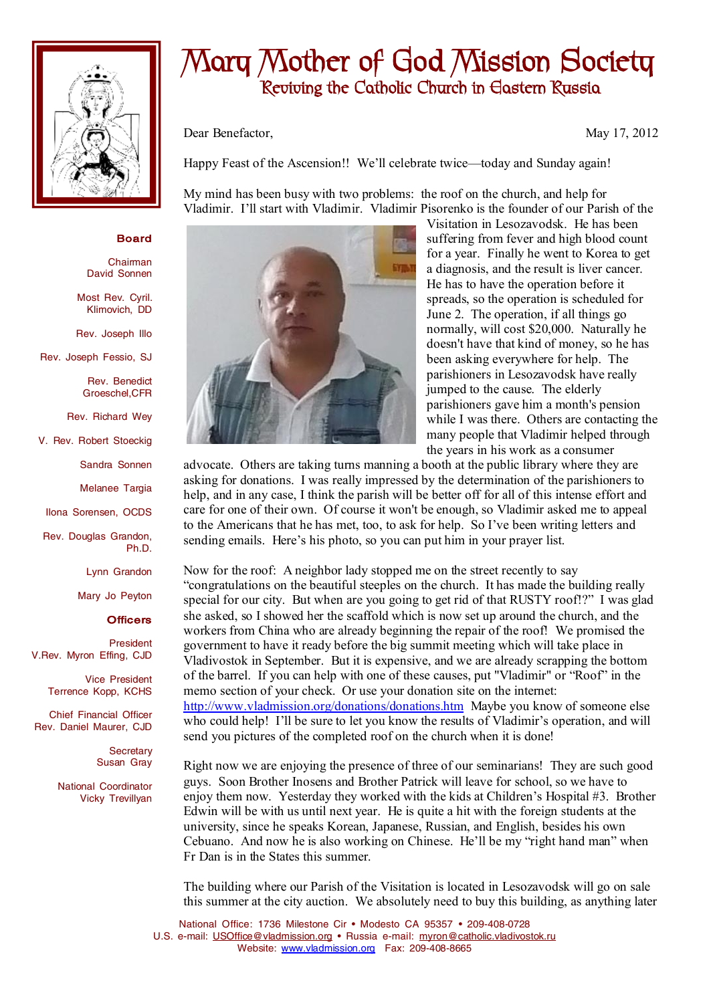

## **Mary Mother of God Mission Society Reviving the Catholic Church in Eastern Russia**

Dear Benefactor, May 17, 2012

Happy Feast of the Ascension!! We'll celebrate twice—today and Sunday again!

My mind has been busy with two problems: the roof on the church, and help for Vladimir. I'll start with Vladimir. Vladimir Pisorenko is the founder of our Parish of the

## **Board**

Chairman David Sonnen

Most Rev. Cyril. Klimovich, DD

Rev. Joseph Illo

Rev. Joseph Fessio, SJ

Rev. Benedict Groeschel,CFR

Rev. Richard Wey

V. Rev. Robert Stoeckig

Sandra Sonnen

Melanee Targia

Ilona Sorensen, OCDS

Rev. Douglas Grandon, Ph.D.

Lynn Grandon

Mary Jo Peyton

## **Officers**

President V.Rev. Myron Effing, CJD

> Vice President Terrence Kopp, KCHS

Chief Financial Officer Rev. Daniel Maurer, CJD

> **Secretary** Susan Gray

National Coordinator Vicky Trevillyan



Visitation in Lesozavodsk. He has been suffering from fever and high blood count for a year. Finally he went to Korea to get a diagnosis, and the result is liver cancer. He has to have the operation before it spreads, so the operation is scheduled for June 2. The operation, if all things go normally, will cost \$20,000. Naturally he doesn't have that kind of money, so he has been asking everywhere for help. The parishioners in Lesozavodsk have really jumped to the cause. The elderly parishioners gave him a month's pension while I was there. Others are contacting the many people that Vladimir helped through the years in his work as a consumer

advocate. Others are taking turns manning a booth at the public library where they are asking for donations. I was really impressed by the determination of the parishioners to help, and in any case, I think the parish will be better off for all of this intense effort and care for one of their own. Of course it won't be enough, so Vladimir asked me to appeal to the Americans that he has met, too, to ask for help. So I've been writing letters and sending emails. Here's his photo, so you can put him in your prayer list.

Now for the roof: A neighbor lady stopped me on the street recently to say "congratulations on the beautiful steeples on the church. It has made the building really special for our city. But when are you going to get rid of that RUSTY roof!?" I was glad she asked, so I showed her the scaffold which is now set up around the church, and the workers from China who are already beginning the repair of the roof! We promised the government to have it ready before the big summit meeting which will take place in Vladivostok in September. But it is expensive, and we are already scrapping the bottom of the barrel. If you can help with one of these causes, put "Vladimir" or "Roof" in the memo section of your check. Or use your donation site on the internet: <http://www.vladmission.org/donations/donations.htm> Maybe you know of someone else who could help! I'll be sure to let you know the results of Vladimir's operation, and will send you pictures of the completed roof on the church when it is done!

Right now we are enjoying the presence of three of our seminarians! They are such good guys. Soon Brother Inosens and Brother Patrick will leave for school, so we have to enjoy them now. Yesterday they worked with the kids at Children's Hospital #3. Brother Edwin will be with us until next year. He is quite a hit with the foreign students at the university, since he speaks Korean, Japanese, Russian, and English, besides his own Cebuano. And now he is also working on Chinese. He'll be my "right hand man" when Fr Dan is in the States this summer.

The building where our Parish of the Visitation is located in Lesozavodsk will go on sale this summer at the city auction. We absolutely need to buy this building, as anything later

National Office: 1736 Milestone Cir • Modesto CA 95357 • 209-408-0728 U.S. e-mail: [USOffice@vladmission.org](mailto:USOffice@vladmission.org) · Russia e-mail: [myron@catholic.vladivostok.ru](mailto:myron@catholic.vladivostok.ru) Website: [www.vladmission.org](http://www.vladmission.org) Fax: 209-408-8665